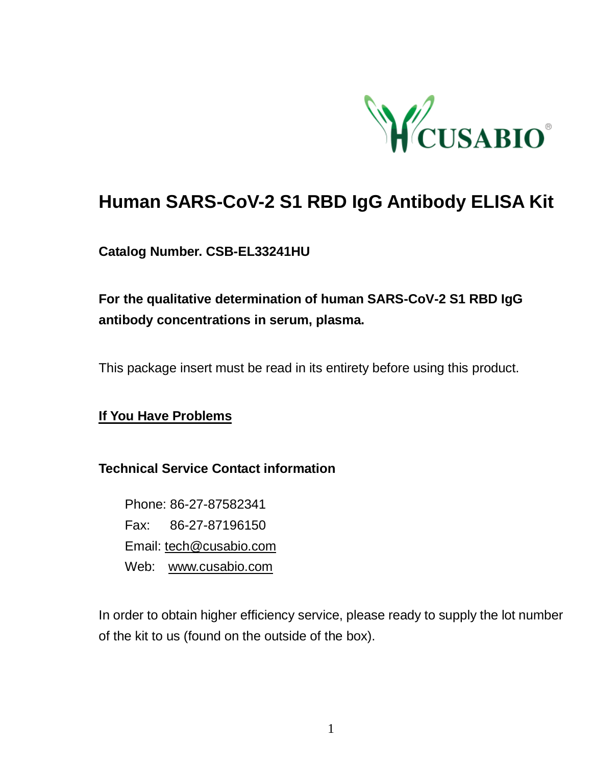

# **Human SARS-CoV-2 S1 RBD IgG Antibody ELISA Kit**

### **Catalog Number. CSB-EL33241HU**

## **For the qualitative determination of human SARS-CoV-2 S1 RBD IgG antibody concentrations in serum, plasma.**

This package insert must be read in its entirety before using this product.

### **If You Have Problems**

#### **Technical Service Contact information**

Phone: 86-27-87582341 Fax: 86-27-87196150 Email: [tech@cusabio.com](mailto:tech@cusabio.com) Web: [www.cusabio.com](http://www.cusabio.com/)

In order to obtain higher efficiency service, please ready to supply the lot number of the kit to us (found on the outside of the box).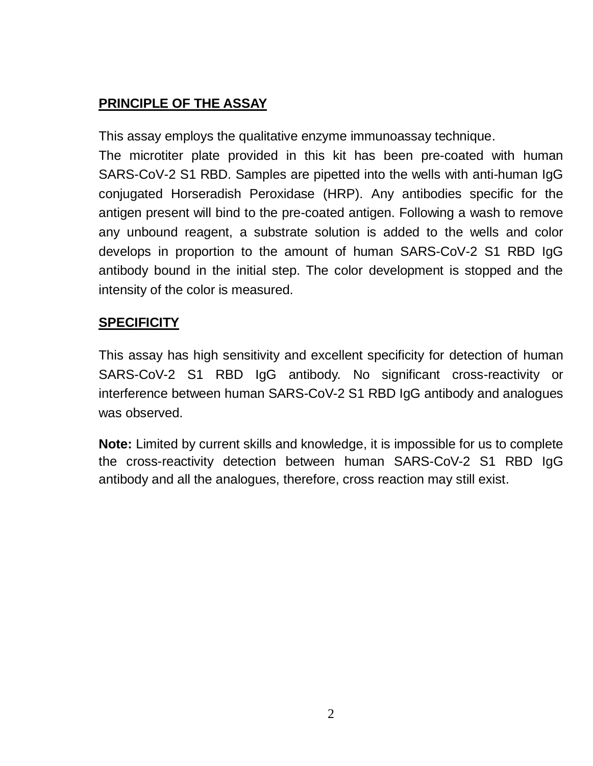## **PRINCIPLE OF THE ASSAY**

This assay employs the qualitative enzyme immunoassay technique.

The microtiter plate provided in this kit has been pre-coated with human SARS-CoV-2 S1 RBD. Samples are pipetted into the wells with anti-human IgG conjugated Horseradish Peroxidase (HRP). Any antibodies specific for the antigen present will bind to the pre-coated antigen. Following a wash to remove any unbound reagent, a substrate solution is added to the wells and color develops in proportion to the amount of human SARS-CoV-2 S1 RBD IgG antibody bound in the initial step. The color development is stopped and the intensity of the color is measured.

### **SPECIFICITY**

This assay has high sensitivity and excellent specificity for detection of human SARS-CoV-2 S1 RBD IgG antibody. No significant cross-reactivity or interference between human SARS-CoV-2 S1 RBD IgG antibody and analogues was observed.

**Note:** Limited by current skills and knowledge, it is impossible for us to complete the cross-reactivity detection between human SARS-CoV-2 S1 RBD IgG antibody and all the analogues, therefore, cross reaction may still exist.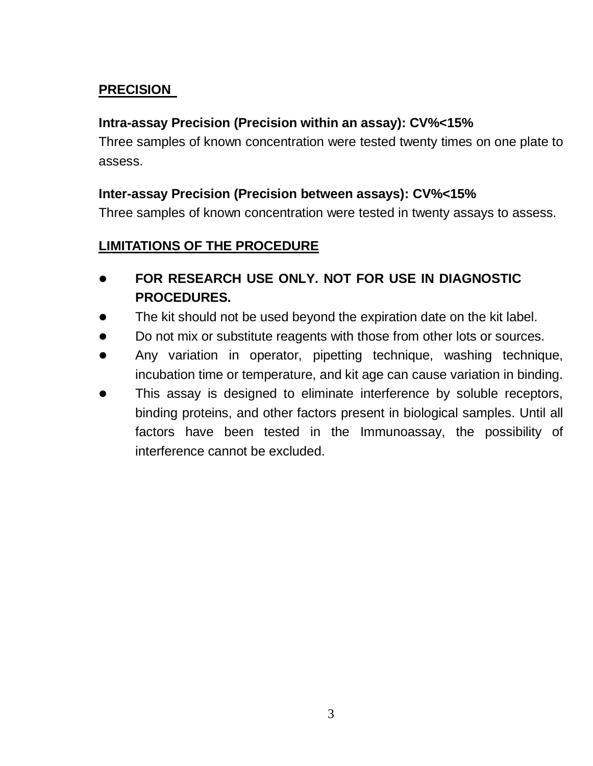### **PRECISION**

### **Intra-assay Precision (Precision within an assay): CV%<15%**

Three samples of known concentration were tested twenty times on one plate to assess.

### **Inter-assay Precision (Precision between assays): CV%<15%**

Three samples of known concentration were tested in twenty assays to assess.

### **LIMITATIONS OF THE PROCEDURE**

- **FOR RESEARCH USE ONLY. NOT FOR USE IN DIAGNOSTIC PROCEDURES.**
- The kit should not be used beyond the expiration date on the kit label.
- Do not mix or substitute reagents with those from other lots or sources.
- Any variation in operator, pipetting technique, washing technique, incubation time or temperature, and kit age can cause variation in binding.
- This assay is designed to eliminate interference by soluble receptors, binding proteins, and other factors present in biological samples. Until all factors have been tested in the Immunoassay, the possibility of interference cannot be excluded.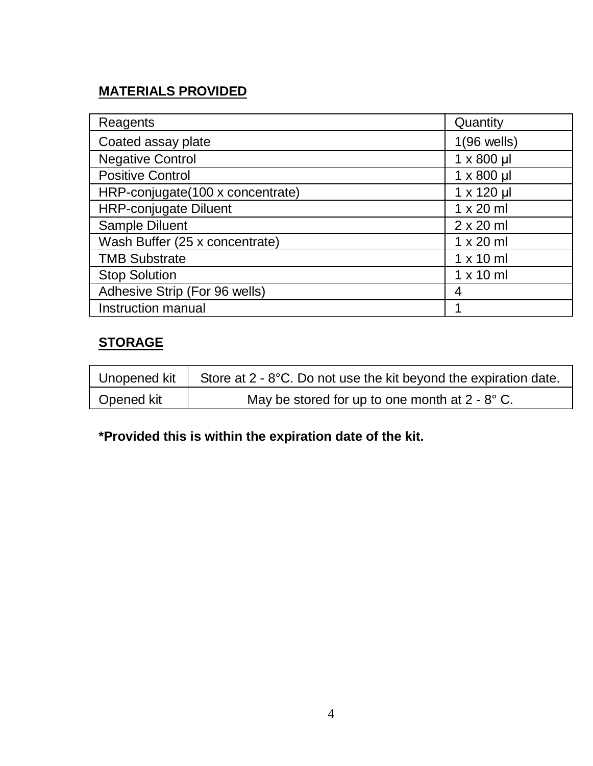## **MATERIALS PROVIDED**

| Reagents                         | Quantity          |
|----------------------------------|-------------------|
| Coated assay plate               | $1(96$ wells)     |
| <b>Negative Control</b>          | $1 \times 800$ µl |
| <b>Positive Control</b>          | $1 \times 800$ µ  |
| HRP-conjugate(100 x concentrate) | 1 x 120 µl        |
| <b>HRP-conjugate Diluent</b>     | $1 \times 20$ ml  |
| Sample Diluent                   | $2 \times 20$ ml  |
| Wash Buffer (25 x concentrate)   | $1 \times 20$ ml  |
| <b>TMB Substrate</b>             | $1 \times 10$ ml  |
| <b>Stop Solution</b>             | $1 \times 10$ ml  |
| Adhesive Strip (For 96 wells)    | 4                 |
| Instruction manual               |                   |

## **STORAGE**

| Unopened kit | Store at 2 - 8°C. Do not use the kit beyond the expiration date. |
|--------------|------------------------------------------------------------------|
| Opened kit   | May be stored for up to one month at $2 - 8^\circ$ C.            |

**\*Provided this is within the expiration date of the kit.**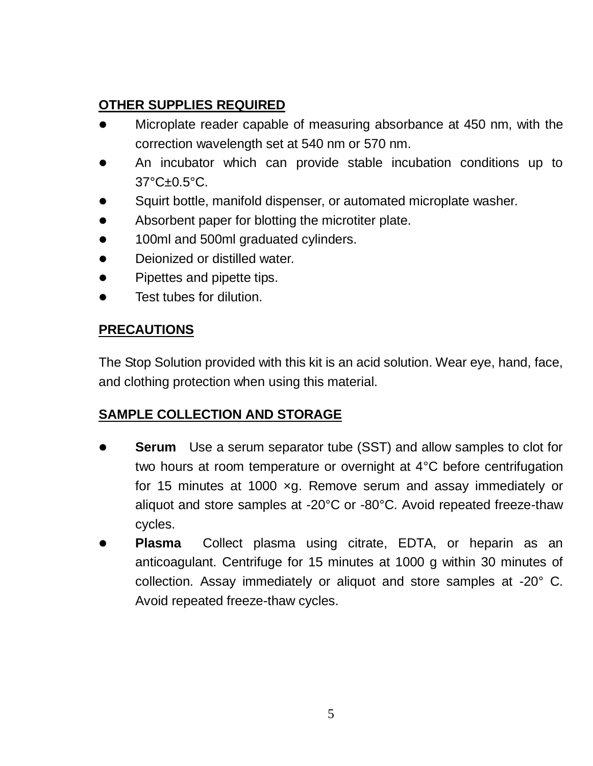### **OTHER SUPPLIES REQUIRED**

- Microplate reader capable of measuring absorbance at 450 nm, with the correction wavelength set at 540 nm or 570 nm.
- An incubator which can provide stable incubation conditions up to 37°C±0.5°C.
- Squirt bottle, manifold dispenser, or automated microplate washer.
- Absorbent paper for blotting the microtiter plate.
- **.** 100ml and 500ml graduated cylinders.
- Deionized or distilled water.
- Pipettes and pipette tips.
- Test tubes for dilution.

### **PRECAUTIONS**

The Stop Solution provided with this kit is an acid solution. Wear eye, hand, face, and clothing protection when using this material.

### **SAMPLE COLLECTION AND STORAGE**

- **Serum** Use a serum separator tube (SST) and allow samples to clot for two hours at room temperature or overnight at 4°C before centrifugation for 15 minutes at 1000 ×g. Remove serum and assay immediately or aliquot and store samples at -20°C or -80°C. Avoid repeated freeze-thaw cycles.
- **Plasma** Collect plasma using citrate, EDTA, or heparin as an anticoagulant. Centrifuge for 15 minutes at 1000 g within 30 minutes of collection. Assay immediately or aliquot and store samples at -20° C. Avoid repeated freeze-thaw cycles.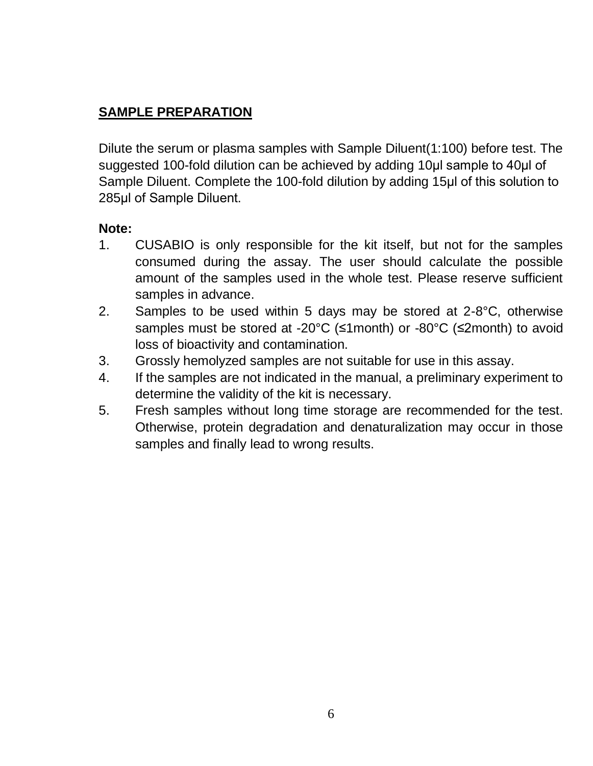### **SAMPLE PREPARATION**

Dilute the serum or plasma samples with Sample Diluent(1:100) before test. The suggested 100-fold dilution can be achieved by adding 10μl sample to 40μl of Sample Diluent. Complete the 100-fold dilution by adding 15μl of this solution to 285μl of Sample Diluent.

### **Note:**

- 1. CUSABIO is only responsible for the kit itself, but not for the samples consumed during the assay. The user should calculate the possible amount of the samples used in the whole test. Please reserve sufficient samples in advance.
- 2. Samples to be used within 5 days may be stored at 2-8°C, otherwise samples must be stored at -20°C (≤1month) or -80°C (≤2month) to avoid loss of bioactivity and contamination.
- 3. Grossly hemolyzed samples are not suitable for use in this assay.
- 4. If the samples are not indicated in the manual, a preliminary experiment to determine the validity of the kit is necessary.
- 5. Fresh samples without long time storage are recommended for the test. Otherwise, protein degradation and denaturalization may occur in those samples and finally lead to wrong results.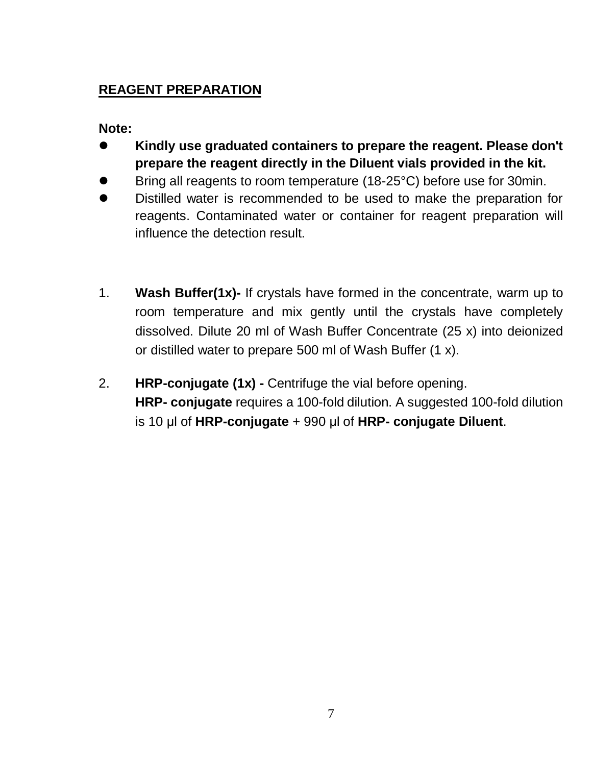## **REAGENT PREPARATION**

**Note:** 

- **Kindly use graduated containers to prepare the reagent. Please don't prepare the reagent directly in the Diluent vials provided in the kit.**
- Bring all reagents to room temperature (18-25°C) before use for 30min.
- Distilled water is recommended to be used to make the preparation for reagents. Contaminated water or container for reagent preparation will influence the detection result.
- 1. **Wash Buffer(1x)-** If crystals have formed in the concentrate, warm up to room temperature and mix gently until the crystals have completely dissolved. Dilute 20 ml of Wash Buffer Concentrate (25 x) into deionized or distilled water to prepare 500 ml of Wash Buffer (1 x).
- 2. **HRP-conjugate (1x) -** Centrifuge the vial before opening. **HRP- conjugate** requires a 100-fold dilution. A suggested 100-fold dilution is 10 μl of **HRP-conjugate** + 990 μl of **HRP- conjugate Diluent**.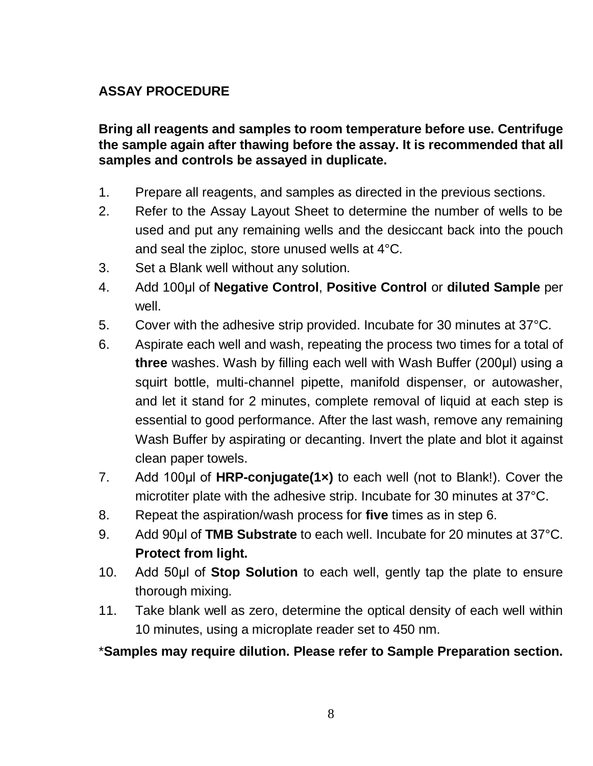### **ASSAY PROCEDURE**

**Bring all reagents and samples to room temperature before use. Centrifuge the sample again after thawing before the assay. It is recommended that all samples and controls be assayed in duplicate.** 

- 1. Prepare all reagents, and samples as directed in the previous sections.
- 2. Refer to the Assay Layout Sheet to determine the number of wells to be used and put any remaining wells and the desiccant back into the pouch and seal the ziploc, store unused wells at 4°C.
- 3. Set a Blank well without any solution.
- 4. Add 100μl of **Negative Control**, **Positive Control** or **diluted Sample** per well.
- 5. Cover with the adhesive strip provided. Incubate for 30 minutes at 37°C.
- 6. Aspirate each well and wash, repeating the process two times for a total of **three** washes. Wash by filling each well with Wash Buffer (200μl) using a squirt bottle, multi-channel pipette, manifold dispenser, or autowasher, and let it stand for 2 minutes, complete removal of liquid at each step is essential to good performance. After the last wash, remove any remaining Wash Buffer by aspirating or decanting. Invert the plate and blot it against clean paper towels.
- 7. Add 100μl of **HRP-conjugate(1×)** to each well (not to Blank!). Cover the microtiter plate with the adhesive strip. Incubate for 30 minutes at 37°C.
- 8. Repeat the aspiration/wash process for **five** times as in step 6.
- 9. Add 90μl of **TMB Substrate** to each well. Incubate for 20 minutes at 37°C. **Protect from light.**
- 10. Add 50μl of **Stop Solution** to each well, gently tap the plate to ensure thorough mixing.
- 11. Take blank well as zero, determine the optical density of each well within 10 minutes, using a microplate reader set to 450 nm.

\***Samples may require dilution. Please refer to Sample Preparation section.**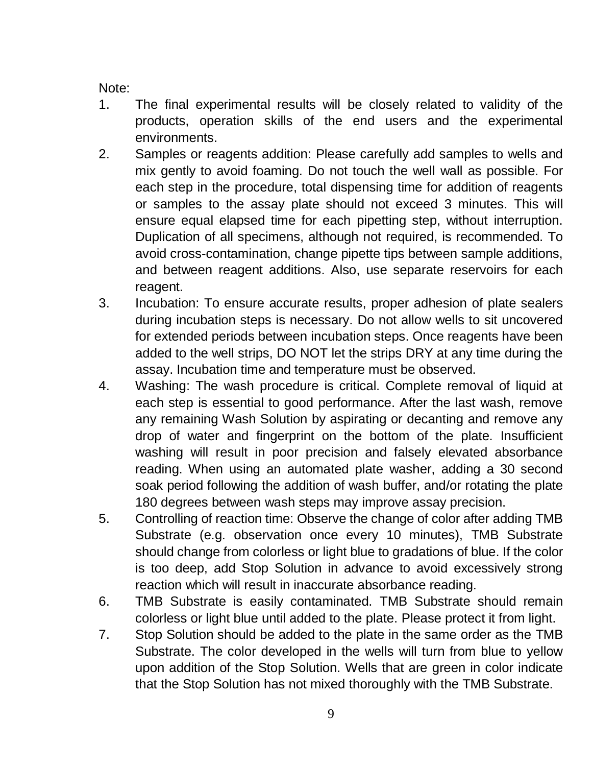Note:

- 1. The final experimental results will be closely related to validity of the products, operation skills of the end users and the experimental environments.
- 2. Samples or reagents addition: Please carefully add samples to wells and mix gently to avoid foaming. Do not touch the well wall as possible. For each step in the procedure, total dispensing time for addition of reagents or samples to the assay plate should not exceed 3 minutes. This will ensure equal elapsed time for each pipetting step, without interruption. Duplication of all specimens, although not required, is recommended. To avoid cross-contamination, change pipette tips between sample additions, and between reagent additions. Also, use separate reservoirs for each reagent.
- 3. Incubation: To ensure accurate results, proper adhesion of plate sealers during incubation steps is necessary. Do not allow wells to sit uncovered for extended periods between incubation steps. Once reagents have been added to the well strips, DO NOT let the strips DRY at any time during the assay. Incubation time and temperature must be observed.
- 4. Washing: The wash procedure is critical. Complete removal of liquid at each step is essential to good performance. After the last wash, remove any remaining Wash Solution by aspirating or decanting and remove any drop of water and fingerprint on the bottom of the plate. Insufficient washing will result in poor precision and falsely elevated absorbance reading. When using an automated plate washer, adding a 30 second soak period following the addition of wash buffer, and/or rotating the plate 180 degrees between wash steps may improve assay precision.
- 5. Controlling of reaction time: Observe the change of color after adding TMB Substrate (e.g. observation once every 10 minutes), TMB Substrate should change from colorless or light blue to gradations of blue. If the color is too deep, add Stop Solution in advance to avoid excessively strong reaction which will result in inaccurate absorbance reading.
- 6. TMB Substrate is easily contaminated. TMB Substrate should remain colorless or light blue until added to the plate. Please protect it from light.
- 7. Stop Solution should be added to the plate in the same order as the TMB Substrate. The color developed in the wells will turn from blue to yellow upon addition of the Stop Solution. Wells that are green in color indicate that the Stop Solution has not mixed thoroughly with the TMB Substrate.